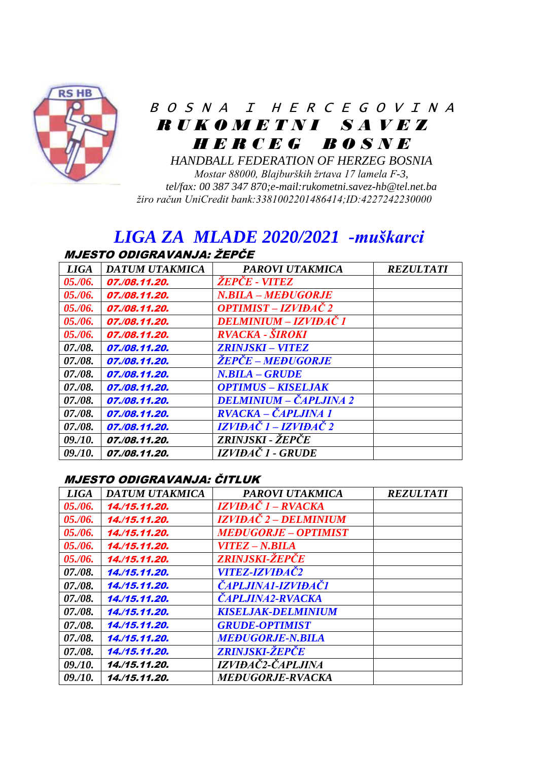

# B O S N A I H E R C E G O V I N A  *R U K O M E T N I S A V E Z H E R C E G B O S N E*

*HANDBALL FEDERATION OF HERZEG BOSNIA Mostar 88000, Blajburških žrtava 17 lamela F-3, tel/fax: 00 387 347 870;e-mail:rukometni.savez-hb@tel.net.ba žiro račun UniCredit bank:3381002201486414;ID:4227242230000*

## *LIGA ZA MLADE 2020/2021 -muškarci* MJESTO ODIGRAVANJA: ŽEPČE

| <b>LIGA</b> | <b>DATUM UTAKMICA</b> | <b>PAROVI UTAKMICA</b>          | <b>REZULTATI</b> |
|-------------|-----------------------|---------------------------------|------------------|
| 05./06.     | 07./08.11.20.         | <i>ŽEPČE - VITEZ</i>            |                  |
| 05./06.     | 07./08.11.20.         | N.BILA - MEĐUGORJE              |                  |
| 05./06.     | 07./08.11.20.         | OPTIMIST – IZVIĐAČ 2            |                  |
| 05./06.     | 07./08.11.20.         | DELMINIUM – IZVIĐAČ 1           |                  |
| 05./06.     | 07./08.11.20.         | RVACKA - ŠIROKI                 |                  |
| 07./08.     | 07./08.11.20.         | <b>ZRINJSKI – VITEZ</b>         |                  |
| 07./08.     | 07./08.11.20.         | <i><b>ŽEPČE – MEĐUGORJE</b></i> |                  |
| 07./08.     | 07./08.11.20.         | N.BILA – GRUDE                  |                  |
| 07./08.     | 07./08.11.20.         | <b>OPTIMUS - KISELJAK</b>       |                  |
| 07./08.     | 07./08.11.20.         | DELMINIUM – ČAPLJINA 2          |                  |
| 07./08.     | 07./08.11.20.         | RVACKA – ČAPLJINA 1             |                  |
| 07./08.     | 07./08.11.20.         | IZVIĐAČ 1 – IZVIĐAČ 2           |                  |
| 09. / 10.   | 07./08.11.20.         | ZRINJSKI - ŽEPČE                |                  |
| 09. / 10.   | 07./08.11.20.         | IZVIĐAČ 1 - GRUDE               |                  |

#### MJESTO ODIGRAVANJA: ČITLUK

| <b>LIGA</b> | DATUM UTAKMICA | PAROVI UTAKMICA              | <b>REZULTATI</b> |
|-------------|----------------|------------------------------|------------------|
| 05./06.     | 14./15.11.20.  | IZVIĐAČ 1 – RVACKA           |                  |
| 05. / 06.   | 14./15.11.20.  | IZVIĐAČ 2 – DELMINIUM        |                  |
| 05./06.     | 14./15.11.20.  | <b>MEĐUGORJE – OPTIMIST</b>  |                  |
| 05./06.     | 14./15.11.20.  | VITEZ – N.BILA               |                  |
| 05./06.     | 14./15.11.20.  | <b>ZRINJSKI-ŽEPČE</b>        |                  |
| 07./08.     | 14./15.11.20.  | <i><b>VITEZ-IZVIĐAČ2</b></i> |                  |
| 07./08.     | 14./15.11.20.  | <b>CAPLJINA1-IZVIĐAČI</b>    |                  |
| 07./08.     | 14./15.11.20.  | <b>CAPLJINA2-RVACKA</b>      |                  |
| 07./08.     | 14./15.11.20.  | <b>KISELJAK-DELMINIUM</b>    |                  |
| 07./08.     | 14./15.11.20.  | <b>GRUDE-OPTIMIST</b>        |                  |
| 07./08.     | 14./15.11.20.  | <b>MEĐUGORJE-N.BILA</b>      |                  |
| 07./08.     | 14,/15,11,20,  | ZRINJSKI-ŽEPČE               |                  |
| 09. / 10.   | 14./15.11.20.  | IZVIĐAČ2-ČAPLJINA            |                  |
| 09. / 10.   | 14./15.11.20.  | <b>MEĐUGORJE-RVACKA</b>      |                  |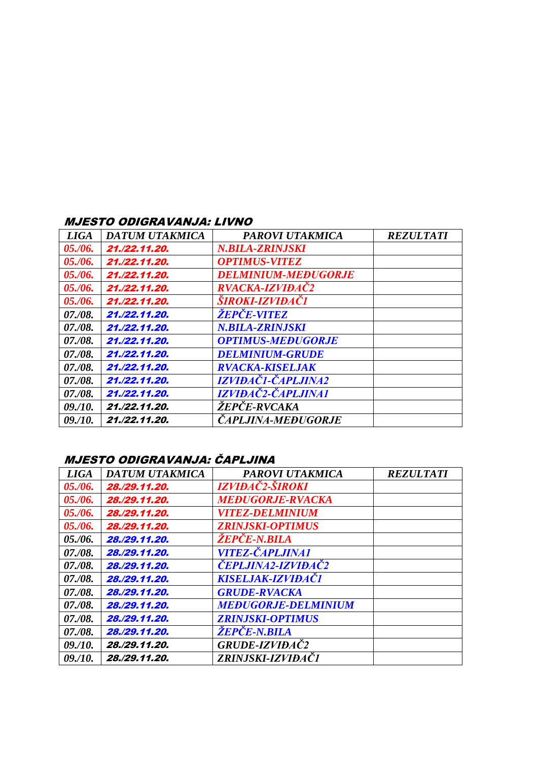#### MJESTO ODIGRAVANJA: LIVNO

| <i>LIGA</i> | DATUM UTAKMICA | <b>PAROVI UTAKMICA</b>           | <b>REZULTATI</b> |
|-------------|----------------|----------------------------------|------------------|
| 05./06.     | 21./22.11.20.  | N.BILA-ZRINJSKI                  |                  |
| 05./06.     | 21./22.11.20.  | <i><b>OPTIMUS-VITEZ</b></i>      |                  |
| 05./06.     | 21./22.11.20.  | <b>DELMINIUM-MEĐUGORJE</b>       |                  |
| 05. / 06.   | 21./22.11.20.  | RVACKA-IZVIĐAČ2                  |                  |
| 05./06.     | 21./22.11.20.  | ŠIROKI-IZVIĐAČI                  |                  |
| 07./08.     | 21./22.11.20.  | <i><b>ŻEPĆE-VITEZ</b></i>        |                  |
| 07./08.     | 21./22.11.20.  | N.BILA-ZRINJSKI                  |                  |
| 07./08.     | 21./22.11.20.  | <b>OPTIMUS-MEĐUGORJE</b>         |                  |
| 07./08.     | 21./22.11.20.  | <b>DELMINIUM-GRUDE</b>           |                  |
| 07./08.     | 21./22.11.20.  | <b>RVACKA-KISELJAK</b>           |                  |
| 07./08.     | 21./22.11.20.  | <i><b>IZVIĐAČI-ČAPLJINA2</b></i> |                  |
| 07./08.     | 21./22.11.20.  | <i><b>IZVIĐAČ2-ČAPLJINA1</b></i> |                  |
| 09./10.     | 21./22.11.20.  | <i><b>ŽEPCE-RVCAKA</b></i>       |                  |
| 09./10.     | 21./22.11.20.  | <b>CAPLJINA-MEĐUGORJE</b>        |                  |

## MJESTO ODIGRAVANJA: ČAPLJINA

| <b>LIGA</b> | DATUM UTAKMICA | PAROVI UTAKMICA               | <b>REZULTATI</b> |
|-------------|----------------|-------------------------------|------------------|
| 05. / 06.   | 28./29.11.20.  | IZVIĐAČ2-ŠIROKI               |                  |
| 05. / 06.   | 28./29.11.20.  | <b>MEĐUGORJE-RVACKA</b>       |                  |
| 05./06.     | 28./29.11.20.  | <i><b>VITEZ-DELMINIUM</b></i> |                  |
| 05./06.     | 28./29.11.20.  | <b>ZRINJSKI-OPTIMUS</b>       |                  |
| 05. / 06.   | 28./29.11.20.  | <i><b>ŻEPČE-N.BILA</b></i>    |                  |
| 07./08.     | 28./29.11.20.  | <i><b>VITEZ-ČAPLJINA1</b></i> |                  |
| 07./08.     | 28./29.11.20.  | <b>ČEPLJINA2-IZVIĐAČ2</b>     |                  |
| 07./08.     | 28./29.11.20.  | <b>KISELJAK-IZVIĐAČI</b>      |                  |
| 07./08.     | 28./29.11.20.  | <b>GRUDE-RVACKA</b>           |                  |
| 07./08.     | 28./29.11.20.  | <b>MEĐUGORJE-DELMINIUM</b>    |                  |
| 07./08.     | 28./29.11.20.  | <b>ZRINJSKI-OPTIMUS</b>       |                  |
| 07./08.     | 28./29.11.20.  | <i><b>ŻEPĊE-N.BILA</b></i>    |                  |
| 09. / 10.   | 28./29.11.20.  | GRUDE-IZVIĐAČ2                |                  |
| 09. / 10.   | 28./29.11.20.  | ZRINJSKI-IZVIĐAČI             |                  |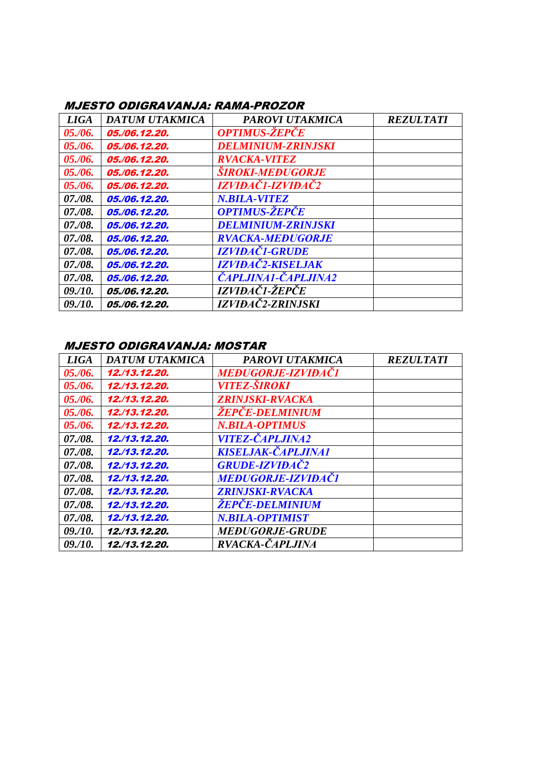### MJESTO ODIGRAVANJA: RAMA-PROZOR

| <b>LIGA</b> | <b>DATUM UTAKMICA</b> | <b>PAROVI UTAKMICA</b>            | <b>REZULTATI</b> |
|-------------|-----------------------|-----------------------------------|------------------|
| 05. / 06.   | 05./06.12.20.         | <b>OPTIMUS-ŽEPČE</b>              |                  |
| 05. / 06.   | 05./06.12.20.         | <b>DELMINIUM-ZRINJSKI</b>         |                  |
| 05. / 06.   | 05./06.12.20.         | <b>RVACKA-VITEZ</b>               |                  |
| 05. / 06.   | 05./06.12.20.         | <b><i>SIROKI-MEĐUGORJE</i></b>    |                  |
| 05./06.     | 05./06.12.20.         | <i><b>IZVIĐAČI-IZVIĐAČ2</b></i>   |                  |
| 07./08.     | 05./06.12.20.         | <b>N.BILA-VITEZ</b>               |                  |
| 07./08.     | 05./06.12.20.         | <b>OPTIMUS-ŽEPČE</b>              |                  |
| 07./08.     | 05./06.12.20.         | <b>DELMINIUM-ZRINJSKI</b>         |                  |
| 07./08.     | 05./06.12.20.         | <b>RVACKA-MEĐUGORJE</b>           |                  |
| 07./08.     | 05./06.12.20.         | <b>IZVIĐAČ1-GRUDE</b>             |                  |
| 07./08.     | 05./06.12.20.         | IZVIĐAČ2-KISELJAK                 |                  |
| 07./08.     | 05./06.12.20.         | <i><b>ČAPLJINA1-ČAPLJINA2</b></i> |                  |
| 09. / 10.   | 05./06.12.20.         | IZVIĐAČI-ŽEPČE                    |                  |
| 09. / 10.   | 05./06.12.20.         | IZVIĐAČ2-ZRINJSKI                 |                  |

#### MJESTO ODIGRAVANJA: MOSTAR

| <b>LIGA</b> | <b>DATUM UTAKMICA</b> | <b>PAROVI UTAKMICA</b>         | <b>REZULTATI</b> |
|-------------|-----------------------|--------------------------------|------------------|
| 05./06.     | 12./13.12.20.         | <b>MEĐUGORJE-IZVIĐAČI</b>      |                  |
| 05. / 06.   | 12./13.12.20.         | <i><b>VITEZ-ŠIROKI</b></i>     |                  |
| 05./06.     | 12./13.12.20.         | <i><b>ZRIN.ISKI-RVACKA</b></i> |                  |
| 05. / 06.   | 12./13.12.20.         | <i><b>ŽEPČE-DELMINIUM</b></i>  |                  |
| 05./06.     | 12,/13,12,20,         | <b>N.BILA-OPTIMUS</b>          |                  |
| 07./08.     | 12./13.12.20.         | <i><b>VITEZ-ČAPLJINA2</b></i>  |                  |
| 07./08.     | 12./13.12.20.         | KISELJAK-ČAPLJINA1             |                  |
| 07./08.     | 12./13.12.20.         | <b>GRUDE-IZVIĐAČ2</b>          |                  |
| 07./08.     | 12./13.12.20.         | <b>MEĐUGORJE-IZVIĐAČI</b>      |                  |
| 07./08.     | 12./13.12.20.         | <b>ZRINJSKI-RVACKA</b>         |                  |
| 07./08.     | 12./13.12.20.         | <i><b>ŽEPČE-DELMINIUM</b></i>  |                  |
| 07./08.     | 12./13.12.20.         | <b>N.BILA-OPTIMIST</b>         |                  |
| 09. / 10.   | 12./13.12.20.         | <b>MEĐUGORJE-GRUDE</b>         |                  |
| 09. / 10.   | 12./13.12.20.         | RVACKA-ČAPLJINA                |                  |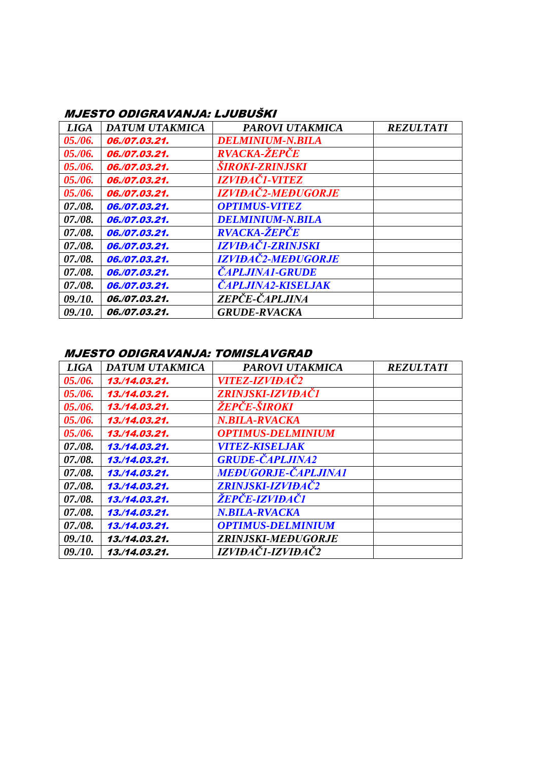#### MJESTO ODIGRAVANJA: LJUBUŠKI

| <b>LIGA</b> | DATUM UTAKMICA | PAROVI UTAKMICA                  | <b>REZULTATI</b> |
|-------------|----------------|----------------------------------|------------------|
| 05. / 06.   | 06./07.03.21.  | <b>DELMINIUM-N.BILA</b>          |                  |
| 05./06.     | 06./07.03.21.  | <b>RVACKA-ŽEPČE</b>              |                  |
| 05./06.     | 06./07.03.21.  | <b><i>SIROKI-ZRINJSKI</i></b>    |                  |
| 05. / 06.   | 06./07.03.21.  | <i><b>IZVIĐAČI-VITEZ</b></i>     |                  |
| 05./06.     | 06./07.03.21.  | <b>IZVIĐAČ2-MEĐUGORJE</b>        |                  |
| 07./08.     | 06./07.03.21.  | <b>OPTIMUS-VITEZ</b>             |                  |
| 07./08.     | 06./07.03.21.  | <b>DELMINIUM-N.BILA</b>          |                  |
| 07./08.     | 06./07.03.21.  | <b>RVACKA-ŽEPČE</b>              |                  |
| 07./08.     | 06./07.03.21.  | <i><b>IZVIĐAČI-ZRINJSKI</b></i>  |                  |
| 07./08.     | 06./07.03.21.  | <i><b>IZVIĐAČ2-MEĐUGORJE</b></i> |                  |
| 07./08.     | 06./07.03.21.  | <b><i>CAPLJINA1-GRUDE</i></b>    |                  |
| 07./08.     | 06./07.03.21.  | <b>ČAPLJINA2-KISELJAK</b>        |                  |
| 09./10.     | 06,/07,03,21,  | ZEPČE-ČAPLJINA                   |                  |
| 09. / 10.   | 06./07.03.21.  | <b>GRUDE-RVACKA</b>              |                  |

### MJESTO ODIGRAVANJA: TOMISLAVGRAD

| <b>LIGA</b> | DATUM UTAKMICA | <b>PAROVI UTAKMICA</b>       | <b>REZULTATI</b> |
|-------------|----------------|------------------------------|------------------|
| 05. / 06.   | 13./14.03.21.  | <i><b>VITEZ-IZVIĐAČ2</b></i> |                  |
| 05. / 06.   | 13./14.03.21.  | ZRINJSKI-IZVIĐAČI            |                  |
| 05. / 06.   | 13,/14,03,21,  | <i>ŽEPČE-ŠIROKI</i>          |                  |
| 05. / 06.   | 13./14.03.21.  | N.BILA-RVACKA                |                  |
| 05./06.     | 13./14.03.21.  | <b>OPTIMUS-DELMINIUM</b>     |                  |
| 07./08.     | 13./14.03.21.  | <i><b>VITEZ-KISELJAK</b></i> |                  |
| 07./08.     | 13./14.03.21.  | <b>GRUDE-CAPLJINA2</b>       |                  |
| 07./08.     | 13./14.03.21.  | <b>MEĐUGORJE-ČAPLJINA1</b>   |                  |
| 07./08.     | 13./14.03.21.  | <b>ZRINJSKI-IZVIĐAČ2</b>     |                  |
| 07./08.     | 13./14.03.21.  | <i>ŽEPČE-IZVIĐAČ1</i>        |                  |
| 07./08.     | 13./14.03.21.  | <b>N.BILA-RVACKA</b>         |                  |
| 07./08.     | 13,/14,03,21,  | <b>OPTIMUS-DELMINIUM</b>     |                  |
| 09. / 10.   | 13./14.03.21.  | <b>ZRINJSKI-MEĐUGORJE</b>    |                  |
| 09. / 10.   | 13,/14,03,21,  | IZVIĐAČI-IZVIĐAČ2            |                  |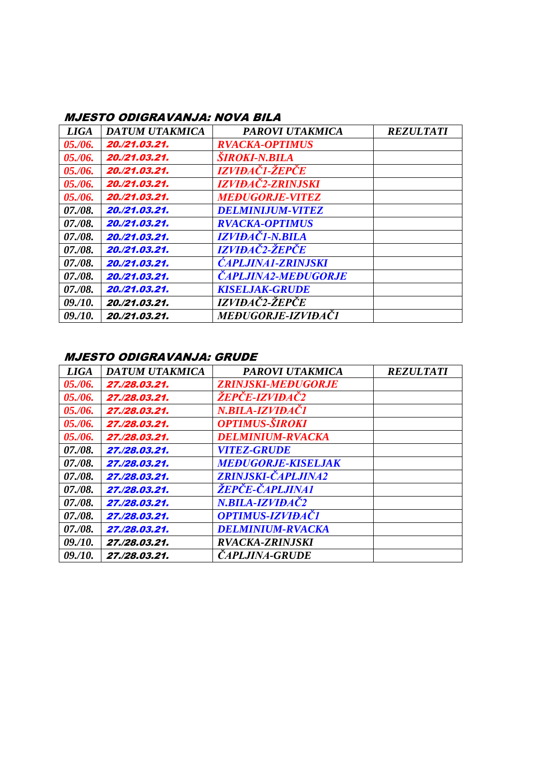## MJESTO ODIGRAVANJA: NOVA BILA

| <b>LIGA</b> | DATUM UTAKMICA | PAROVI UTAKMICA                   | <b>REZULTATI</b> |
|-------------|----------------|-----------------------------------|------------------|
| 05./06.     | 20./21.03.21.  | <b>RVACKA-OPTIMUS</b>             |                  |
| 05. / 06.   | 20./21.03.21.  | <b><i>SIROKI-N.BILA</i></b>       |                  |
| 05./06.     | 20./21.03.21.  | IZVIĐAČI-ŽEPČE                    |                  |
| 05. / 06.   | 20./21.03.21.  | <i><b>IZVIĐAČ2-ZRINJSKI</b></i>   |                  |
| 05./06.     | 20./21.03.21.  | <b>MEĐUGORJE-VITEZ</b>            |                  |
| 07./08.     | 20./21.03.21.  | <b>DELMINIJUM-VITEZ</b>           |                  |
| 07. / 08.   | 20./21.03.21.  | <b>RVACKA-OPTIMUS</b>             |                  |
| 07./08.     | 20./21.03.21.  | <b>IZVIĐAČI-N.BILA</b>            |                  |
| 07./08.     | 20./21.03.21.  | <b>IZVIĐAČ2-ŽEPČE</b>             |                  |
| 07./08.     | 20./21.03.21.  | <b>CAPLJINA1-ZRINJSKI</b>         |                  |
| 07./08.     | 20./21.03.21.  | <b><i>CAPLJINA2-MEĐUGORJE</i></b> |                  |
| 07./08.     | 20./21.03.21.  | <b>KISELJAK-GRUDE</b>             |                  |
| 09. / 10.   | 20./21.03.21.  | IZVIĐAČ2-ŽEPČE                    |                  |
| 09. / 10.   | 20./21.03.21.  | <i><b>MEĐUGORJE-IZVIĐAČI</b></i>  |                  |

#### MJESTO ODIGRAVANJA: GRUDE

| <b>LIGA</b> | <b>DATUM UTAKMICA</b> | <b>PAROVI UTAKMICA</b>         | <b>REZULTATI</b> |
|-------------|-----------------------|--------------------------------|------------------|
| 05. / 06.   | 27./28.03.21.         | <b>ZRINJSKI-MEĐUGORJE</b>      |                  |
| 05,06.      | 27./28.03.21.         | <i>ŽEPČE-IZVIĐAČ2</i>          |                  |
| 05. / 06.   | 27./28.03.21.         | N.BILA-IZVIĐAČI                |                  |
| 05./06.     | 27./28.03.21.         | <i><b>OPTIMUS-ŠIROKI</b></i>   |                  |
| 05. / 06.   | 27./28.03.21.         | <b>DELMINIUM-RVACKA</b>        |                  |
| 07./08.     | 27./28.03.21.         | <i><b>VITEZ-GRUDE</b></i>      |                  |
| 07./08.     | 27./28.03.21.         | <b>MEĐUGORJE-KISELJAK</b>      |                  |
| 07./08.     | 27./28.03.21.         | <b>ZRINJSKI-ČAPLJINA2</b>      |                  |
| 07./08.     | 27./28.03.21.         | <i><b>ŽEPČE-ČAPLJINA1</b></i>  |                  |
| 07./08.     | 27./28.03.21.         | N.BILA-IZVIĐAČ2                |                  |
| 07./08.     | 27./28.03.21.         | <i><b>OPTIMUS-IZVIĐAČI</b></i> |                  |
| 07./08.     | 27./28.03.21.         | <b>DELMINIUM-RVACKA</b>        |                  |
| 09. / 10.   | 27./28.03.21.         | <b>RVACKA-ZRINJSKI</b>         |                  |
| 09. / 10.   | 27./28.03.21.         | <i><b>CAPLJINA-GRUDE</b></i>   |                  |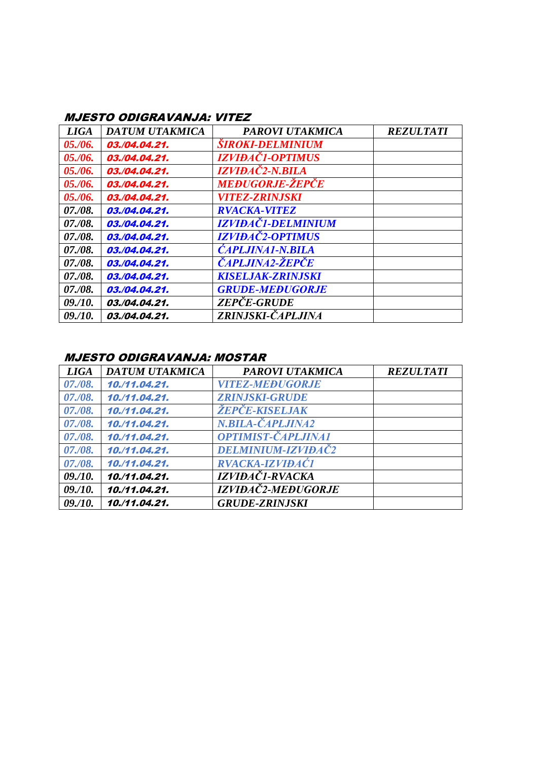## MJESTO ODIGRAVANJA: VITEZ

| <b>LIGA</b> | DATUM UTAKMICA | <b>PAROVI UTAKMICA</b>           | <b>REZULTATI</b> |
|-------------|----------------|----------------------------------|------------------|
| 05. / 06.   | 03./04.04.21.  | <b>SIROKI-DELMINIUM</b>          |                  |
| 05./06.     | 03./04.04.21.  | <i><b>IZVIĐAČI-OPTIMUS</b></i>   |                  |
| 05./06.     | 03./04.04.21.  | <i><b>IZVIĐAČ2-N.BILA</b></i>    |                  |
| 05./06.     | 03./04.04.21.  | <b>MEĐUGORJE-ŽEPČE</b>           |                  |
| 05./06.     | 03./04.04.21.  | <i><b>VITEZ-ZRINJSKI</b></i>     |                  |
| 07./08.     | 03./04.04.21.  | <b>RVACKA-VITEZ</b>              |                  |
| 07./08.     | 03./04.04.21.  | <i><b>IZVIĐAČI-DELMINIUM</b></i> |                  |
| 07./08.     | 03./04.04.21.  | <b>IZVIĐAČ2-OPTIMUS</b>          |                  |
| 07./08.     | 03./04.04.21.  | <b>CAPLJINA1-N.BILA</b>          |                  |
| 07./08.     | 03./04.04.21.  | <i>ČAPLJINA2-ŽEPČE</i>           |                  |
| 07./08.     | 03./04.04.21.  | <b>KISELJAK-ZRINJSKI</b>         |                  |
| 07./08.     | 03./04.04.21.  | <b>GRUDE-MEĐUGORJE</b>           |                  |
| 09./10.     | 03./04.04.21.  | <b>ZEPČE-GRUDE</b>               |                  |
| 09/10.      | 03./04.04.21.  | ZRINJSKI-ČAPLJINA                |                  |

### MJESTO ODIGRAVANJA: MOSTAR

| <b>LIGA</b> | DATUM UTAKMICA | <b>PAROVI UTAKMICA</b>       | <b>REZULTATI</b> |
|-------------|----------------|------------------------------|------------------|
| 07./08.     | 10./11.04.21.  | <b>VITEZ-MEĐUGORJE</b>       |                  |
| 07./08.     | 10,/11.04.21.  | <b>ZRINJSKI-GRUDE</b>        |                  |
| 07./08.     | 10./11.04.21.  | <i><b>ŽEPČE-KISELJAK</b></i> |                  |
| 07./08.     | 10,/11.04.21.  | N.BILA-CAPLJINA2             |                  |
| 07./08.     | 10./11.04.21.  | OPTIMIST-ČAPLJINA1           |                  |
| 07./08.     | 10./11.04.21.  | DELMINIUM-IZVIĐAČ2           |                  |
| 07./08.     | 10,/11.04.21.  | RVACKA-IZVIĐAČI              |                  |
| 09. / 10.   | 10./11.04.21.  | IZVIĐAČI-RVACKA              |                  |
| 09./10.     | 10./11.04.21.  | IZVIĐAČ2-MEĐUGORJE           |                  |
| 09/10.      | 10./11.04.21.  | <b>GRUDE-ZRINJSKI</b>        |                  |